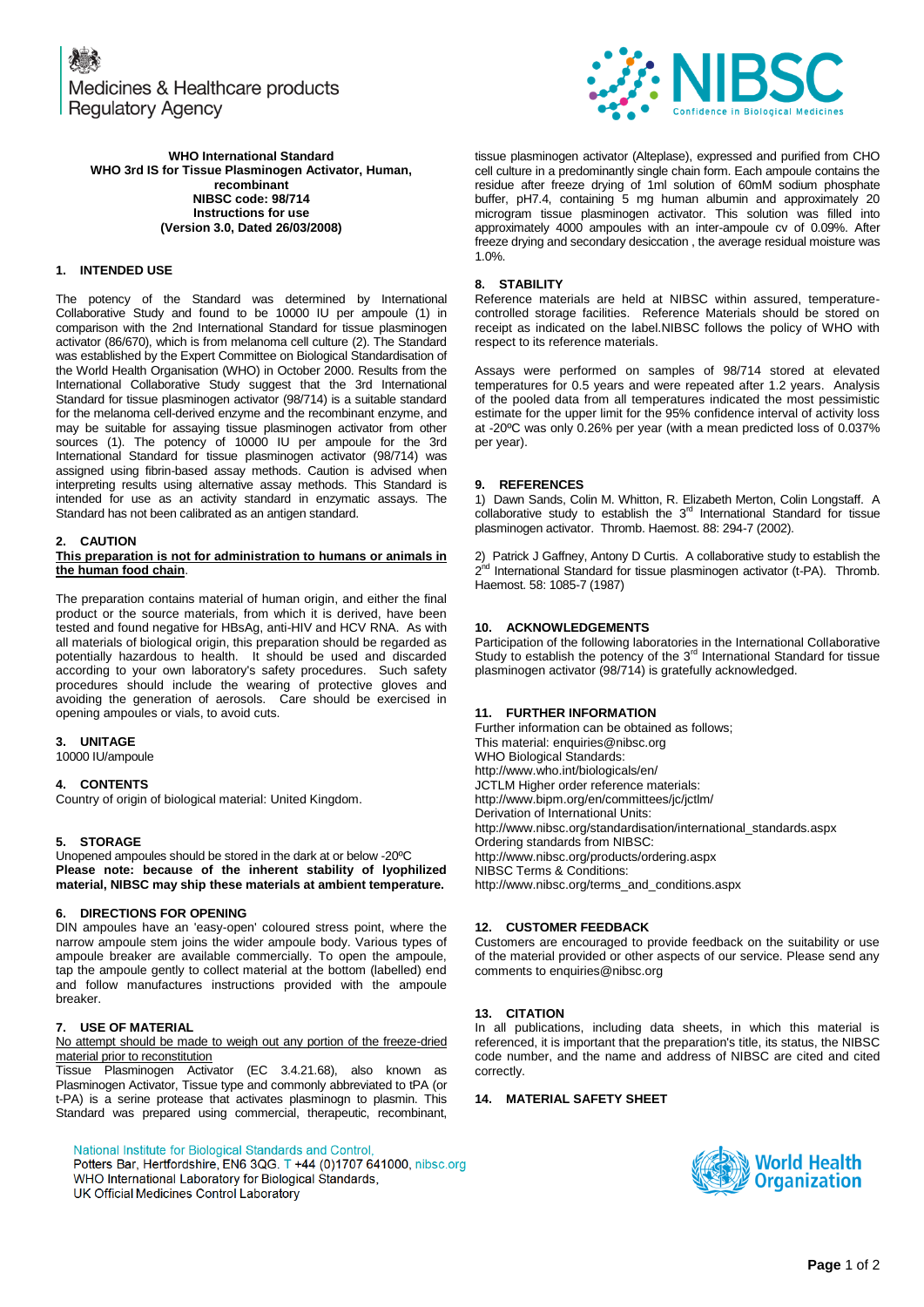Medicines & Healthcare products **Regulatory Agency** 



tissue plasminogen activator (Alteplase), expressed and purified from CHO cell culture in a predominantly single chain form. Each ampoule contains the residue after freeze drying of 1ml solution of 60mM sodium phosphate buffer, pH7.4, containing 5 mg human albumin and approximately 20 microgram tissue plasminogen activator. This solution was filled into approximately 4000 ampoules with an inter-ampoule cv of 0.09%. After freeze drying and secondary desiccation , the average residual moisture was 1.0%.

## **8. STABILITY**

Reference materials are held at NIBSC within assured, temperaturecontrolled storage facilities. Reference Materials should be stored on receipt as indicated on the label.NIBSC follows the policy of WHO with respect to its reference materials.

Assays were performed on samples of 98/714 stored at elevated temperatures for 0.5 years and were repeated after 1.2 years. Analysis of the pooled data from all temperatures indicated the most pessimistic estimate for the upper limit for the 95% confidence interval of activity loss at -20ºC was only 0.26% per year (with a mean predicted loss of 0.037% per year).

## **9. REFERENCES**

1) Dawn Sands, Colin M. Whitton, R. Elizabeth Merton, Colin Longstaff. A collaborative study to establish the 3<sup>rd</sup> International Standard for tissue plasminogen activator. Thromb. Haemost. 88: 294-7 (2002).

2) Patrick J Gaffney, Antony D Curtis. A collaborative study to establish the 2<sup>hd</sup> International Standard for tissue plasminogen activator (t-PA). Thromb. Haemost. 58: 1085-7 (1987)

## **10. ACKNOWLEDGEMENTS**

Participation of the following laboratories in the International Collaborative<br>Study to establish the potency of the 3<sup>rd</sup> International Standard for tissue plasminogen activator (98/714) is gratefully acknowledged.

## **11. FURTHER INFORMATION**

Further information can be obtained as follows; This material[: enquiries@nibsc.org](mailto:enquiries@nibsc.org) WHO Biological Standards: <http://www.who.int/biologicals/en/> JCTLM Higher order reference materials: <http://www.bipm.org/en/committees/jc/jctlm/> Derivation of International Units: [http://www.nibsc.org/standardisation/international\\_standards.aspx](http://www.nibsc.org/standardisation/international_standards.aspx) Ordering standards from NIBSC: <http://www.nibsc.org/products/ordering.aspx> NIBSC Terms & Conditions: [http://www.nibsc.org/terms\\_and\\_conditions.aspx](http://www.nibsc.ac.uk/terms_and_conditions.aspx)

## **12. CUSTOMER FEEDBACK**

Customers are encouraged to provide feedback on the suitability or use of the material provided or other aspects of our service. Please send any comments t[o enquiries@nibsc.org](mailto:enquiries@nibsc.org)

## **13. CITATION**

In all publications, including data sheets, in which this material is referenced, it is important that the preparation's title, its status, the NIBSC code number, and the name and address of NIBSC are cited and cited correctly.

## **14. MATERIAL SAFETY SHEET**



**WHO International Standard WHO 3rd IS for Tissue Plasminogen Activator, Human, recombinant NIBSC code: 98/714 Instructions for use (Version 3.0, Dated 26/03/2008)**

# **1. INTENDED USE**

The potency of the Standard was determined by International Collaborative Study and found to be 10000 IU per ampoule (1) in comparison with the 2nd International Standard for tissue plasminogen activator (86/670), which is from melanoma cell culture (2). The Standard was established by the Expert Committee on Biological Standardisation of the World Health Organisation (WHO) in October 2000. Results from the International Collaborative Study suggest that the 3rd International Standard for tissue plasminogen activator (98/714) is a suitable standard for the melanoma cell-derived enzyme and the recombinant enzyme, and may be suitable for assaying tissue plasminogen activator from other sources (1). The potency of 10000 IU per ampoule for the 3rd International Standard for tissue plasminogen activator (98/714) was assigned using fibrin-based assay methods. Caution is advised when interpreting results using alternative assay methods. This Standard is intended for use as an activity standard in enzymatic assays. The Standard has not been calibrated as an antigen standard.

#### **2. CAUTION**

#### **This preparation is not for administration to humans or animals in the human food chain**.

The preparation contains material of human origin, and either the final product or the source materials, from which it is derived, have been tested and found negative for HBsAg, anti-HIV and HCV RNA. As with all materials of biological origin, this preparation should be regarded as potentially hazardous to health. It should be used and discarded according to your own laboratory's safety procedures. Such safety procedures should include the wearing of protective gloves and avoiding the generation of aerosols. Care should be exercised in opening ampoules or vials, to avoid cuts.

## **3. UNITAGE**

10000 IU/ampoule

## **4. CONTENTS**

Country of origin of biological material: United Kingdom.

## **5. STORAGE**

Unopened ampoules should be stored in the dark at or below -20ºC **Please note: because of the inherent stability of lyophilized material, NIBSC may ship these materials at ambient temperature.**

## **6. DIRECTIONS FOR OPENING**

DIN ampoules have an 'easy-open' coloured stress point, where the narrow ampoule stem joins the wider ampoule body. Various types of ampoule breaker are available commercially. To open the ampoule, tap the ampoule gently to collect material at the bottom (labelled) end and follow manufactures instructions provided with the ampoule breaker.

## **7. USE OF MATERIAL**

No attempt should be made to weigh out any portion of the freeze-dried material prior to reconstitution

Tissue Plasminogen Activator (EC 3.4.21.68), also known as Plasminogen Activator, Tissue type and commonly abbreviated to tPA (or t-PA) is a serine protease that activates plasminogn to plasmin. This Standard was prepared using commercial, therapeutic, recombinant,

National Institute for Biological Standards and Control,

Potters Bar, Hertfordshire, EN6 3QG. T +44 (0)1707 641000, nibsc.org WHO International Laboratory for Biological Standards, UK Official Medicines Control Laboratory